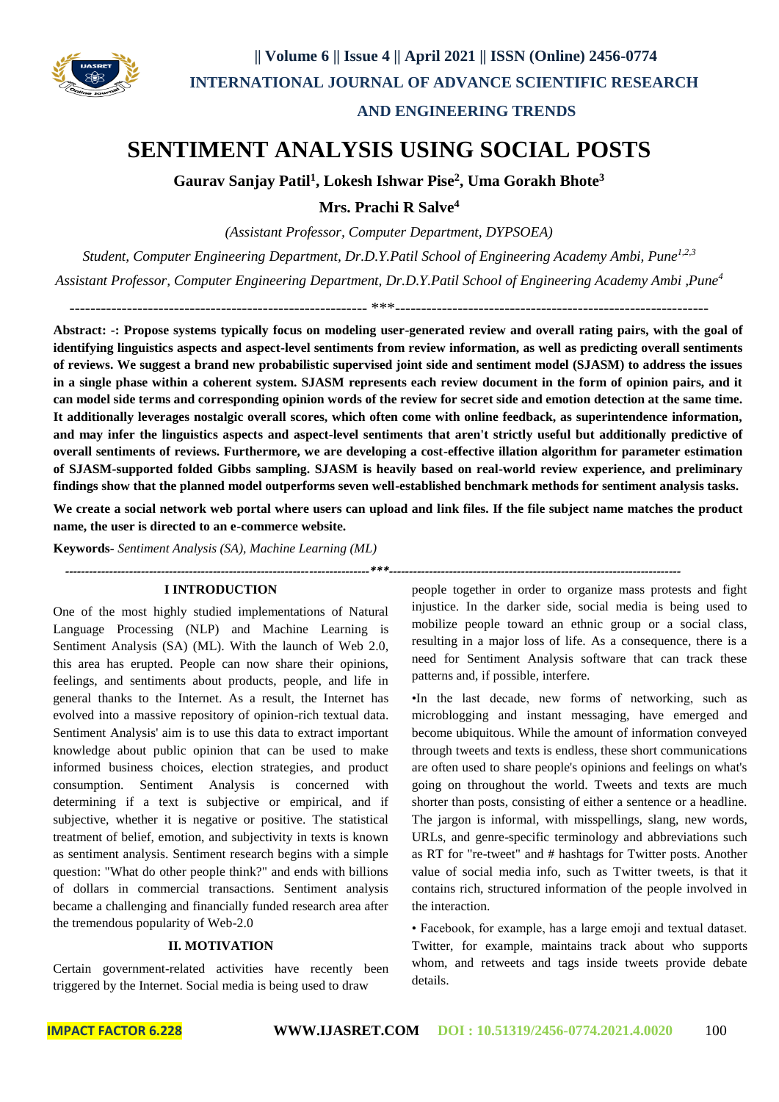

### **AND ENGINEERING TRENDS**

## **SENTIMENT ANALYSIS USING SOCIAL POSTS**

**Gaurav Sanjay Patil<sup>1</sup> , Lokesh Ishwar Pise<sup>2</sup> , Uma Gorakh Bhote<sup>3</sup>**

**Mrs. Prachi R Salve<sup>4</sup>**

*(Assistant Professor, Computer Department, DYPSOEA)*

*Student, Computer Engineering Department, Dr.D.Y.Patil School of Engineering Academy Ambi, Pune1,2,3*

*Assistant Professor, Computer Engineering Department, Dr.D.Y.Patil School of Engineering Academy Ambi ,Pune<sup>4</sup>*

 $****$ 

**Abstract: -: Propose systems typically focus on modeling user-generated review and overall rating pairs, with the goal of identifying linguistics aspects and aspect-level sentiments from review information, as well as predicting overall sentiments of reviews. We suggest a brand new probabilistic supervised joint side and sentiment model (SJASM) to address the issues in a single phase within a coherent system. SJASM represents each review document in the form of opinion pairs, and it can model side terms and corresponding opinion words of the review for secret side and emotion detection at the same time. It additionally leverages nostalgic overall scores, which often come with online feedback, as superintendence information, and may infer the linguistics aspects and aspect-level sentiments that aren't strictly useful but additionally predictive of overall sentiments of reviews. Furthermore, we are developing a cost-effective illation algorithm for parameter estimation of SJASM-supported folded Gibbs sampling. SJASM is heavily based on real-world review experience, and preliminary findings show that the planned model outperforms seven well-established benchmark methods for sentiment analysis tasks.**

**We create a social network web portal where users can upload and link files. If the file subject name matches the product name, the user is directed to an e-commerce website.**

*----------------------------------------------------------------------------\*\*\*-------------------------------------------------------------------------*

**Keywords-** *Sentiment Analysis (SA), Machine Learning (ML)*

### **I INTRODUCTION**

One of the most highly studied implementations of Natural Language Processing (NLP) and Machine Learning is Sentiment Analysis (SA) (ML). With the launch of Web 2.0, this area has erupted. People can now share their opinions, feelings, and sentiments about products, people, and life in general thanks to the Internet. As a result, the Internet has evolved into a massive repository of opinion-rich textual data. Sentiment Analysis' aim is to use this data to extract important knowledge about public opinion that can be used to make informed business choices, election strategies, and product consumption. Sentiment Analysis is concerned with determining if a text is subjective or empirical, and if subjective, whether it is negative or positive. The statistical treatment of belief, emotion, and subjectivity in texts is known as sentiment analysis. Sentiment research begins with a simple question: "What do other people think?" and ends with billions of dollars in commercial transactions. Sentiment analysis became a challenging and financially funded research area after the tremendous popularity of Web-2.0

### **II. MOTIVATION**

Certain government-related activities have recently been triggered by the Internet. Social media is being used to draw

people together in order to organize mass protests and fight injustice. In the darker side, social media is being used to mobilize people toward an ethnic group or a social class, resulting in a major loss of life. As a consequence, there is a need for Sentiment Analysis software that can track these patterns and, if possible, interfere.

•In the last decade, new forms of networking, such as microblogging and instant messaging, have emerged and become ubiquitous. While the amount of information conveyed through tweets and texts is endless, these short communications are often used to share people's opinions and feelings on what's going on throughout the world. Tweets and texts are much shorter than posts, consisting of either a sentence or a headline. The jargon is informal, with misspellings, slang, new words, URLs, and genre-specific terminology and abbreviations such as RT for "re-tweet" and # hashtags for Twitter posts. Another value of social media info, such as Twitter tweets, is that it contains rich, structured information of the people involved in the interaction.

• Facebook, for example, has a large emoji and textual dataset. Twitter, for example, maintains track about who supports whom, and retweets and tags inside tweets provide debate details.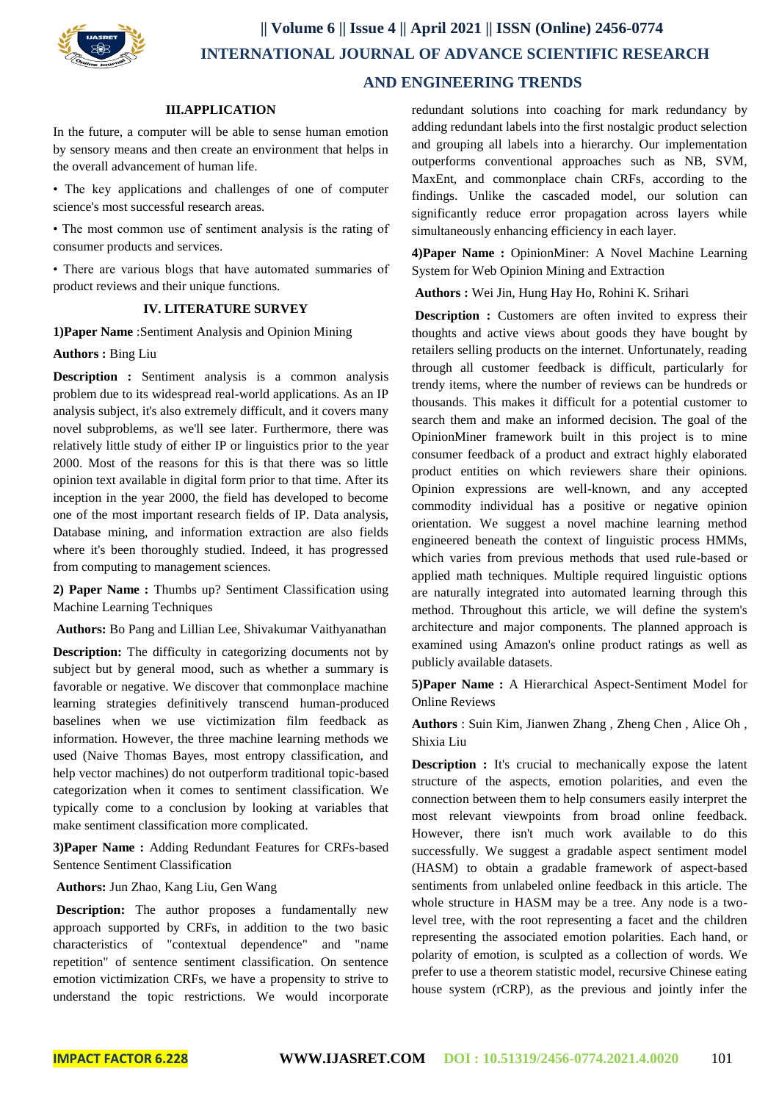

## **|| Volume 6 || Issue 4 || April 2021 || ISSN (Online) 2456-0774 INTERNATIONAL JOURNAL OF ADVANCE SCIENTIFIC RESEARCH AND ENGINEERING TRENDS**

#### **III.APPLICATION**

In the future, a computer will be able to sense human emotion by sensory means and then create an environment that helps in the overall advancement of human life.

• The key applications and challenges of one of computer science's most successful research areas.

• The most common use of sentiment analysis is the rating of consumer products and services.

• There are various blogs that have automated summaries of product reviews and their unique functions.

### **IV. LITERATURE SURVEY**

**1)Paper Name** :Sentiment Analysis and Opinion Mining

### **Authors :** Bing Liu

**Description :** Sentiment analysis is a common analysis problem due to its widespread real-world applications. As an IP analysis subject, it's also extremely difficult, and it covers many novel subproblems, as we'll see later. Furthermore, there was relatively little study of either IP or linguistics prior to the year 2000. Most of the reasons for this is that there was so little opinion text available in digital form prior to that time. After its inception in the year 2000, the field has developed to become one of the most important research fields of IP. Data analysis, Database mining, and information extraction are also fields where it's been thoroughly studied. Indeed, it has progressed from computing to management sciences.

**2) Paper Name :** Thumbs up? Sentiment Classification using Machine Learning Techniques

**Authors:** Bo Pang and Lillian Lee, Shivakumar Vaithyanathan

**Description:** The difficulty in categorizing documents not by subject but by general mood, such as whether a summary is favorable or negative. We discover that commonplace machine learning strategies definitively transcend human-produced baselines when we use victimization film feedback as information. However, the three machine learning methods we used (Naive Thomas Bayes, most entropy classification, and help vector machines) do not outperform traditional topic-based categorization when it comes to sentiment classification. We typically come to a conclusion by looking at variables that make sentiment classification more complicated.

**3)Paper Name :** Adding Redundant Features for CRFs-based Sentence Sentiment Classification

**Authors:** Jun Zhao, Kang Liu, Gen Wang

**Description:** The author proposes a fundamentally new approach supported by CRFs, in addition to the two basic characteristics of "contextual dependence" and "name repetition" of sentence sentiment classification. On sentence emotion victimization CRFs, we have a propensity to strive to understand the topic restrictions. We would incorporate redundant solutions into coaching for mark redundancy by adding redundant labels into the first nostalgic product selection and grouping all labels into a hierarchy. Our implementation outperforms conventional approaches such as NB, SVM, MaxEnt, and commonplace chain CRFs, according to the findings. Unlike the cascaded model, our solution can significantly reduce error propagation across layers while simultaneously enhancing efficiency in each layer.

**4)Paper Name :** OpinionMiner: A Novel Machine Learning System for Web Opinion Mining and Extraction

**Authors :** Wei Jin, Hung Hay Ho, Rohini K. Srihari

**Description :** Customers are often invited to express their thoughts and active views about goods they have bought by retailers selling products on the internet. Unfortunately, reading through all customer feedback is difficult, particularly for trendy items, where the number of reviews can be hundreds or thousands. This makes it difficult for a potential customer to search them and make an informed decision. The goal of the OpinionMiner framework built in this project is to mine consumer feedback of a product and extract highly elaborated product entities on which reviewers share their opinions. Opinion expressions are well-known, and any accepted commodity individual has a positive or negative opinion orientation. We suggest a novel machine learning method engineered beneath the context of linguistic process HMMs, which varies from previous methods that used rule-based or applied math techniques. Multiple required linguistic options are naturally integrated into automated learning through this method. Throughout this article, we will define the system's architecture and major components. The planned approach is examined using Amazon's online product ratings as well as publicly available datasets.

**5)Paper Name :** A Hierarchical Aspect-Sentiment Model for Online Reviews

Authors : Suin Kim, Jianwen Zhang, Zheng Chen, Alice Oh, Shixia Liu

**Description :** It's crucial to mechanically expose the latent structure of the aspects, emotion polarities, and even the connection between them to help consumers easily interpret the most relevant viewpoints from broad online feedback. However, there isn't much work available to do this successfully. We suggest a gradable aspect sentiment model (HASM) to obtain a gradable framework of aspect-based sentiments from unlabeled online feedback in this article. The whole structure in HASM may be a tree. Any node is a twolevel tree, with the root representing a facet and the children representing the associated emotion polarities. Each hand, or polarity of emotion, is sculpted as a collection of words. We prefer to use a theorem statistic model, recursive Chinese eating house system (rCRP), as the previous and jointly infer the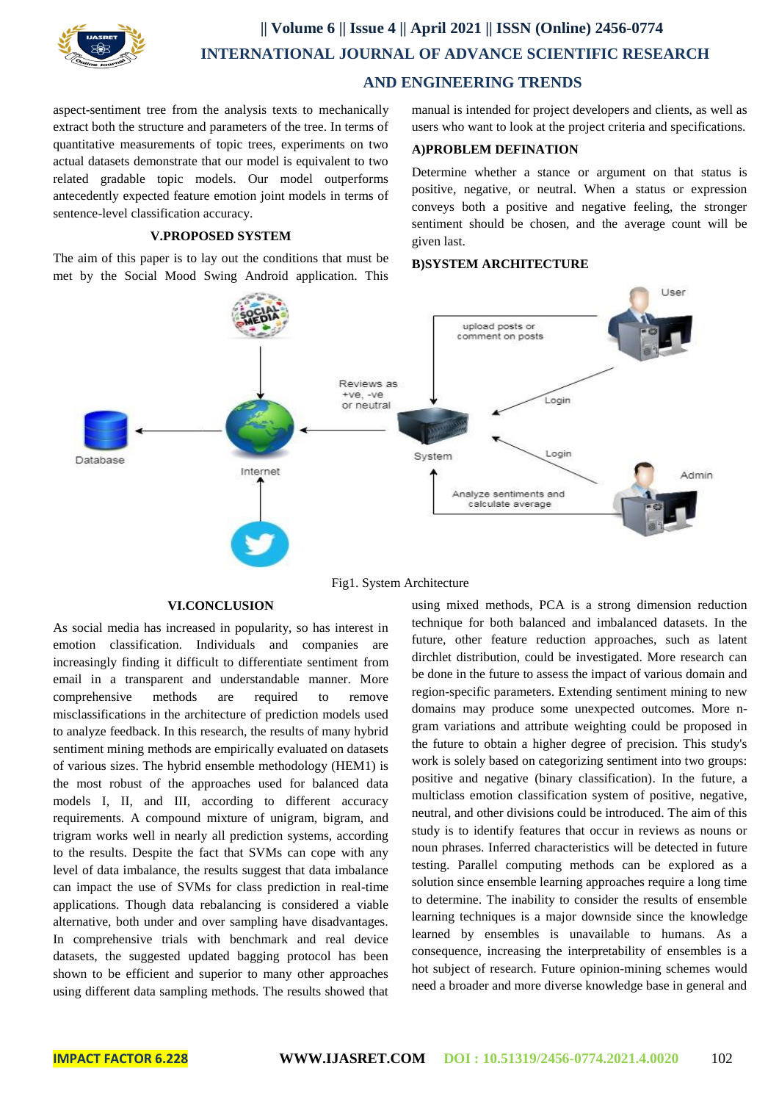

# **|| Volume 6 || Issue 4 || April 2021 || ISSN (Online) 2456-0774 INTERNATIONAL JOURNAL OF ADVANCE SCIENTIFIC RESEARCH**

 **AND ENGINEERING TRENDS** 

aspect-sentiment tree from the analysis texts to mechanically extract both the structure and parameters of the tree. In terms of quantitative measurements of topic trees, experiments on two actual datasets demonstrate that our model is equivalent to two related gradable topic models. Our model outperforms antecedently expected feature emotion joint models in terms of sentence-level classification accuracy.

### **V.PROPOSED SYSTEM**

The aim of this paper is to lay out the conditions that must be met by the Social Mood Swing Android application. This manual is intended for project developers and clients, as well as users who want to look at the project criteria and specifications.

### **A)PROBLEM DEFINATION**

Determine whether a stance or argument on that status is positive, negative, or neutral. When a status or expression conveys both a positive and negative feeling, the stronger sentiment should be chosen, and the average count will be given last.

### **B)SYSTEM ARCHITECTURE**



### Fig1. System Architecture

### **VI.CONCLUSION**

As social media has increased in popularity, so has interest in emotion classification. Individuals and companies are increasingly finding it difficult to differentiate sentiment from email in a transparent and understandable manner. More comprehensive methods are required to remove misclassifications in the architecture of prediction models used to analyze feedback. In this research, the results of many hybrid sentiment mining methods are empirically evaluated on datasets of various sizes. The hybrid ensemble methodology (HEM1) is the most robust of the approaches used for balanced data models I, II, and III, according to different accuracy requirements. A compound mixture of unigram, bigram, and trigram works well in nearly all prediction systems, according to the results. Despite the fact that SVMs can cope with any level of data imbalance, the results suggest that data imbalance can impact the use of SVMs for class prediction in real-time applications. Though data rebalancing is considered a viable alternative, both under and over sampling have disadvantages. In comprehensive trials with benchmark and real device datasets, the suggested updated bagging protocol has been shown to be efficient and superior to many other approaches using different data sampling methods. The results showed that

using mixed methods, PCA is a strong dimension reduction technique for both balanced and imbalanced datasets. In the future, other feature reduction approaches, such as latent dirchlet distribution, could be investigated. More research can be done in the future to assess the impact of various domain and region-specific parameters. Extending sentiment mining to new domains may produce some unexpected outcomes. More ngram variations and attribute weighting could be proposed in the future to obtain a higher degree of precision. This study's work is solely based on categorizing sentiment into two groups: positive and negative (binary classification). In the future, a multiclass emotion classification system of positive, negative, neutral, and other divisions could be introduced. The aim of this study is to identify features that occur in reviews as nouns or noun phrases. Inferred characteristics will be detected in future testing. Parallel computing methods can be explored as a solution since ensemble learning approaches require a long time to determine. The inability to consider the results of ensemble learning techniques is a major downside since the knowledge learned by ensembles is unavailable to humans. As a consequence, increasing the interpretability of ensembles is a hot subject of research. Future opinion-mining schemes would need a broader and more diverse knowledge base in general and